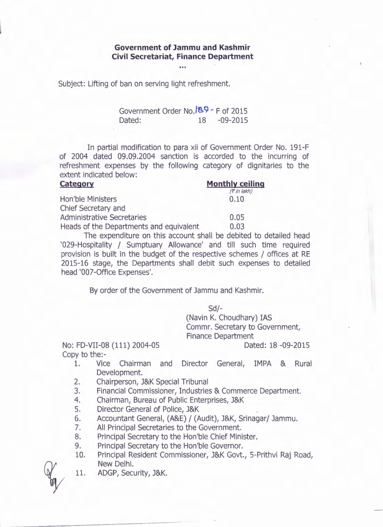## **Government of Jammu and Kashmir Civil Secretariat, Finance Department**

e in a

Subject: Lifting of ban on serving light refreshment.

Government Order No. <sup>189</sup> - F of 2015 Dated: 18 -09-2015

In partial modification to para xii of Government Order No. 191-F of 2004 dated 09.09.2004 sanction is accorded to the incurring of refreshment expenses by the following category of dignitaries to the extent indicated below:

| Category                                | <b>Monthly ceiling</b><br>(7 in lakh) |
|-----------------------------------------|---------------------------------------|
|                                         |                                       |
| Chief Secretary and                     |                                       |
| <b>Administrative Secretaries</b>       | 0.05                                  |
| Heads of the Departments and equivalent | 0.03                                  |

The expenditure on this account shall be debited to detailed head '029-Hospitality / Sumptuary Allowance' and till such time required provision is built in the budget of the respective schemes / offices at RE 2015-16 stage, the Departments shall debit such expenses to detailed head '007-0ffice Expenses'.

By order of the Government of Jammu and Kashmir.

Sd/-

(Navin K. Choudhary) IAS Commr. Secretary to Government, Finance Department

No: FD-VII-08 (111) 2004-05 Copy to the:-

Dated: 18 -09-2015

- 1. Vice Chairman and Director General, IMPA & Rural Development.
- 2. Chairperson, J&K Special Tribunal
- 3. Financial Commissioner, Industries & Commerce Department.
- 4. Chairman, Bureau of Public Enterprises, J&K
- 5. Director General of Police, J&K
- 6. Accountant General, (A&E) / (Audit), J&K, Srinagar/ Jammu.
- 7. All Principal Secretaries to the Government.
- 8. Principal Secretary to the Hon'ble Chief Minister.
- 9. Principal Secretary to the Hon'ble Governor.
- 10. Principal Resident Commissioner, J&K Govt., 5-Prithvi Raj Road, New Delhi.
- 11. ADGP, Security, J&K.